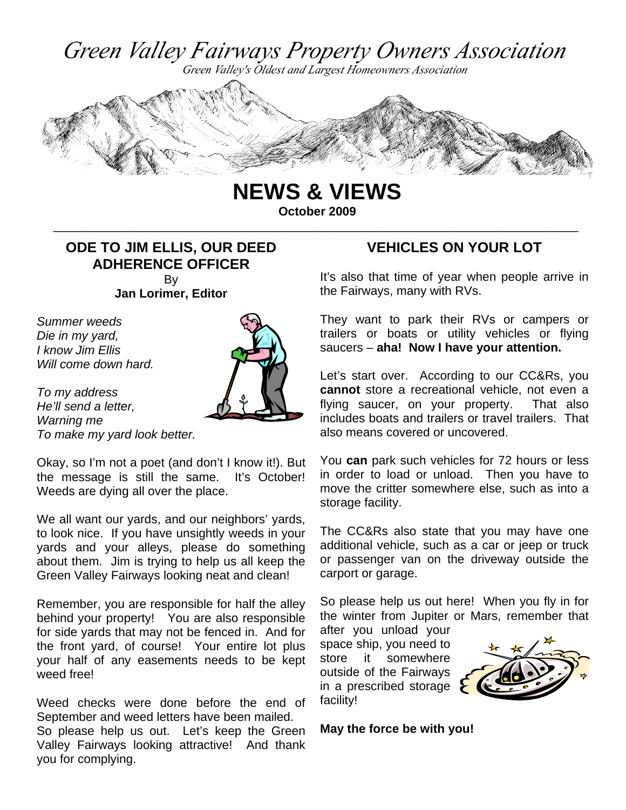





**NEWS & VIEWS October 2009** 

\_\_\_\_\_\_\_\_\_\_\_\_\_\_\_\_\_\_\_\_\_\_\_\_\_\_\_\_\_\_\_\_\_\_\_\_\_\_\_\_\_\_\_\_\_\_\_\_\_\_\_\_\_\_\_\_\_\_\_\_\_\_\_\_\_\_\_\_\_\_\_\_\_\_\_\_\_

### **ODE TO JIM ELLIS, OUR DEED ADHERENCE OFFICER**  By

**Jan Lorimer, Editor** 

*Summer weeds Die in my yard, I know Jim Ellis Will come down hard.* 

*To my address He'll send a letter, Warning me To make my yard look better.* 



Okay, so I'm not a poet (and don't I know it!). But the message is still the same. It's October! Weeds are dying all over the place.

We all want our yards, and our neighbors' yards, to look nice. If you have unsightly weeds in your yards and your alleys, please do something about them. Jim is trying to help us all keep the Green Valley Fairways looking neat and clean!

Remember, you are responsible for half the alley behind your property! You are also responsible for side yards that may not be fenced in. And for the front yard, of course! Your entire lot plus your half of any easements needs to be kept weed free!

Weed checks were done before the end of September and weed letters have been mailed. So please help us out. Let's keep the Green Valley Fairways looking attractive! And thank you for complying.

### **VEHICLES ON YOUR LOT**

It's also that time of year when people arrive in the Fairways, many with RVs.

They want to park their RVs or campers or trailers or boats or utility vehicles or flying saucers – **aha! Now I have your attention.** 

Let's start over. According to our CC&Rs, you **cannot** store a recreational vehicle, not even a flying saucer, on your property. That also includes boats and trailers or travel trailers. That also means covered or uncovered.

You **can** park such vehicles for 72 hours or less in order to load or unload. Then you have to move the critter somewhere else, such as into a storage facility.

The CC&Rs also state that you may have one additional vehicle, such as a car or jeep or truck or passenger van on the driveway outside the carport or garage.

So please help us out here! When you fly in for the winter from Jupiter or Mars, remember that

after you unload your space ship, you need to store it somewhere outside of the Fairways in a prescribed storage facility!



**May the force be with you!**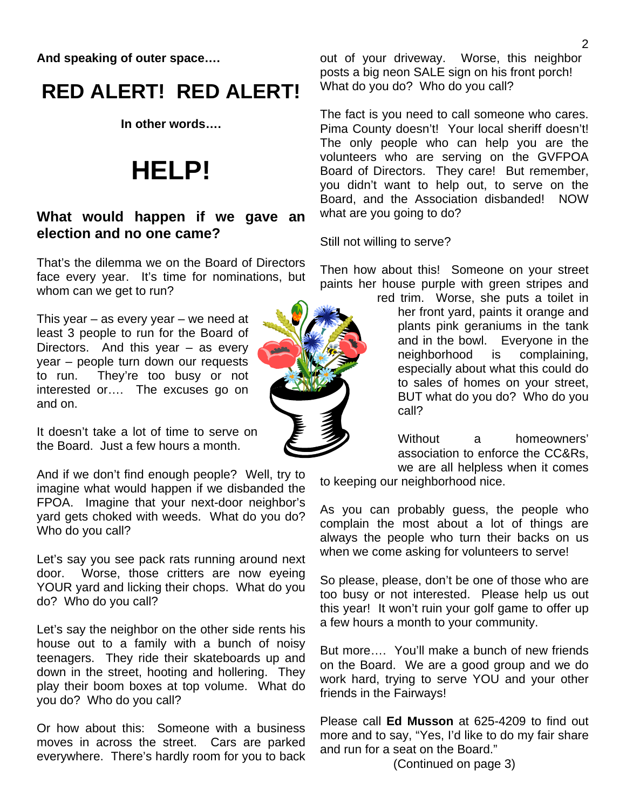**And speaking of outer space….** 

# **RED ALERT! RED ALERT!**

**In other words….** 

# **HELP!**

### **What would happen if we gave an election and no one came?**

That's the dilemma we on the Board of Directors face every year. It's time for nominations, but whom can we get to run?

This year – as every year – we need at least 3 people to run for the Board of Directors. And this year – as every year – people turn down our requests to run. They're too busy or not interested or…. The excuses go on and on.

It doesn't take a lot of time to serve on the Board. Just a few hours a month.

And if we don't find enough people? Well, try to imagine what would happen if we disbanded the FPOA. Imagine that your next-door neighbor's yard gets choked with weeds. What do you do? Who do you call?

Let's say you see pack rats running around next door. Worse, those critters are now eyeing YOUR yard and licking their chops. What do you do? Who do you call?

Let's say the neighbor on the other side rents his house out to a family with a bunch of noisy teenagers. They ride their skateboards up and down in the street, hooting and hollering. They play their boom boxes at top volume. What do you do? Who do you call?

Or how about this: Someone with a business moves in across the street. Cars are parked everywhere. There's hardly room for you to back out of your driveway. Worse, this neighbor posts a big neon SALE sign on his front porch! What do you do? Who do you call?

The fact is you need to call someone who cares. Pima County doesn't! Your local sheriff doesn't! The only people who can help you are the volunteers who are serving on the GVFPOA Board of Directors. They care! But remember, you didn't want to help out, to serve on the Board, and the Association disbanded! NOW what are you going to do?

Still not willing to serve?

Then how about this! Someone on your street paints her house purple with green stripes and

red trim. Worse, she puts a toilet in her front yard, paints it orange and plants pink geraniums in the tank and in the bowl. Everyone in the neighborhood is complaining, especially about what this could do to sales of homes on your street, BUT what do you do? Who do you call?

Without a homeowners' association to enforce the CC&Rs, we are all helpless when it comes

to keeping our neighborhood nice.

As you can probably guess, the people who complain the most about a lot of things are always the people who turn their backs on us when we come asking for volunteers to serve!

So please, please, don't be one of those who are too busy or not interested. Please help us out this year! It won't ruin your golf game to offer up a few hours a month to your community.

But more…. You'll make a bunch of new friends on the Board. We are a good group and we do work hard, trying to serve YOU and your other friends in the Fairways!

Please call **Ed Musson** at 625-4209 to find out more and to say, "Yes, I'd like to do my fair share and run for a seat on the Board."

(Continued on page 3)

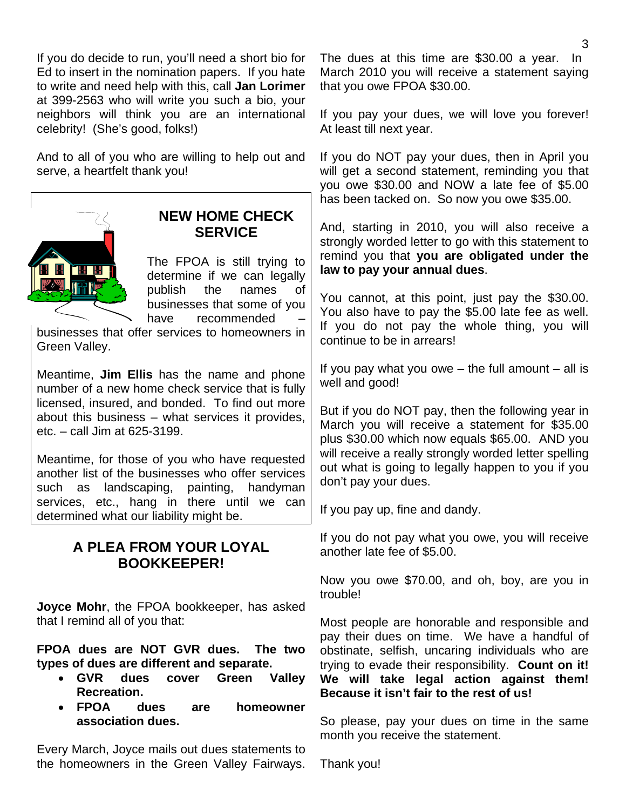If you do decide to run, you'll need a short bio for Ed to insert in the nomination papers. If you hate to write and need help with this, call **Jan Lorimer** at 399-2563 who will write you such a bio, your neighbors will think you are an international celebrity! (She's good, folks!)

And to all of you who are willing to help out and serve, a heartfelt thank you!



### **NEW HOME CHECK SERVICE**

The FPOA is still trying to determine if we can legally publish the names of businesses that some of you have recommended

businesses that offer services to homeowners in Green Valley.

Meantime, **Jim Ellis** has the name and phone number of a new home check service that is fully licensed, insured, and bonded. To find out more about this business – what services it provides, etc. – call Jim at 625-3199.

Meantime, for those of you who have requested another list of the businesses who offer services such as landscaping, painting, handyman services, etc., hang in there until we can determined what our liability might be.

### **A PLEA FROM YOUR LOYAL BOOKKEEPER!**

**Joyce Mohr**, the FPOA bookkeeper, has asked that I remind all of you that:

**FPOA dues are NOT GVR dues. The two types of dues are different and separate.** 

- **GVR dues cover Green Valley Recreation.**
- **FPOA dues are homeowner association dues.**

Every March, Joyce mails out dues statements to the homeowners in the Green Valley Fairways. The dues at this time are \$30.00 a year. In March 2010 you will receive a statement saying that you owe FPOA \$30.00.

If you pay your dues, we will love you forever! At least till next year.

If you do NOT pay your dues, then in April you will get a second statement, reminding you that you owe \$30.00 and NOW a late fee of \$5.00 has been tacked on. So now you owe \$35.00.

And, starting in 2010, you will also receive a strongly worded letter to go with this statement to remind you that **you are obligated under the law to pay your annual dues**.

You cannot, at this point, just pay the \$30.00. You also have to pay the \$5.00 late fee as well. If you do not pay the whole thing, you will continue to be in arrears!

If you pay what you owe  $-$  the full amount  $-$  all is well and good!

But if you do NOT pay, then the following year in March you will receive a statement for \$35.00 plus \$30.00 which now equals \$65.00. AND you will receive a really strongly worded letter spelling out what is going to legally happen to you if you don't pay your dues.

If you pay up, fine and dandy.

If you do not pay what you owe, you will receive another late fee of \$5.00.

Now you owe \$70.00, and oh, boy, are you in trouble!

Most people are honorable and responsible and pay their dues on time. We have a handful of obstinate, selfish, uncaring individuals who are trying to evade their responsibility. **Count on it! We will take legal action against them! Because it isn't fair to the rest of us!** 

So please, pay your dues on time in the same month you receive the statement.

Thank you!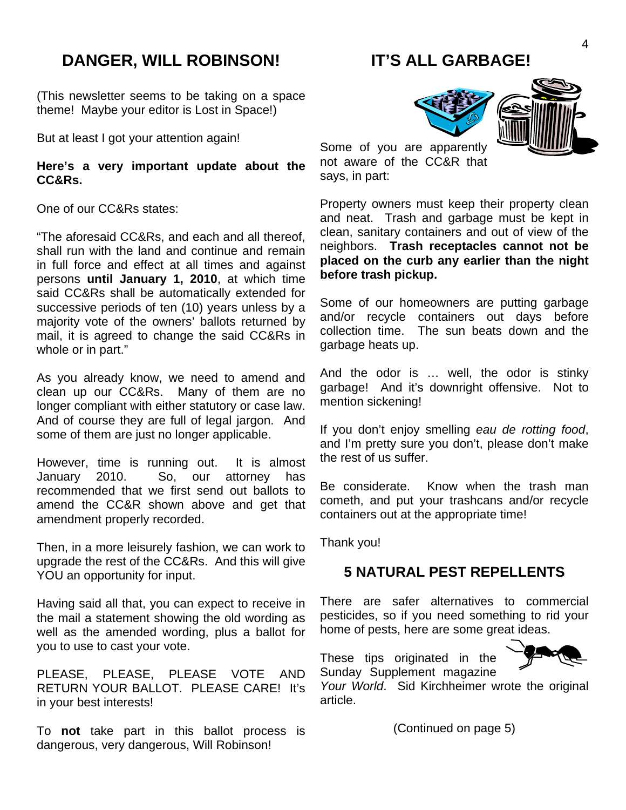## **DANGER, WILL ROBINSON!**

(This newsletter seems to be taking on a space theme! Maybe your editor is Lost in Space!)

But at least I got your attention again!

#### **Here's a very important update about the CC&Rs.**

One of our CC&Rs states:

"The aforesaid CC&Rs, and each and all thereof, shall run with the land and continue and remain in full force and effect at all times and against persons **until January 1, 2010**, at which time said CC&Rs shall be automatically extended for successive periods of ten (10) years unless by a majority vote of the owners' ballots returned by mail, it is agreed to change the said CC&Rs in whole or in part."

As you already know, we need to amend and clean up our CC&Rs. Many of them are no longer compliant with either statutory or case law. And of course they are full of legal jargon. And some of them are just no longer applicable.

However, time is running out. It is almost January 2010. So, our attorney has recommended that we first send out ballots to amend the CC&R shown above and get that amendment properly recorded.

Then, in a more leisurely fashion, we can work to upgrade the rest of the CC&Rs. And this will give YOU an opportunity for input.

Having said all that, you can expect to receive in the mail a statement showing the old wording as well as the amended wording, plus a ballot for you to use to cast your vote.

PLEASE, PLEASE, PLEASE VOTE AND RETURN YOUR BALLOT. PLEASE CARE! It's in your best interests!

To **not** take part in this ballot process is dangerous, very dangerous, Will Robinson!

## **IT'S ALL GARBAGE!**





Some of you are apparently not aware of the CC&R that says, in part:

Property owners must keep their property clean and neat. Trash and garbage must be kept in clean, sanitary containers and out of view of the neighbors. **Trash receptacles cannot not be placed on the curb any earlier than the night before trash pickup.** 

Some of our homeowners are putting garbage and/or recycle containers out days before collection time. The sun beats down and the garbage heats up.

And the odor is … well, the odor is stinky garbage! And it's downright offensive. Not to mention sickening!

If you don't enjoy smelling *eau de rotting food*, and I'm pretty sure you don't, please don't make the rest of us suffer.

Be considerate. Know when the trash man cometh, and put your trashcans and/or recycle containers out at the appropriate time!

Thank you!

### **5 NATURAL PEST REPELLENTS**

There are safer alternatives to commercial pesticides, so if you need something to rid your home of pests, here are some great ideas.

These tips originated in the Sunday Supplement magazine



*Your World*. Sid Kirchheimer wrote the original article.

(Continued on page 5)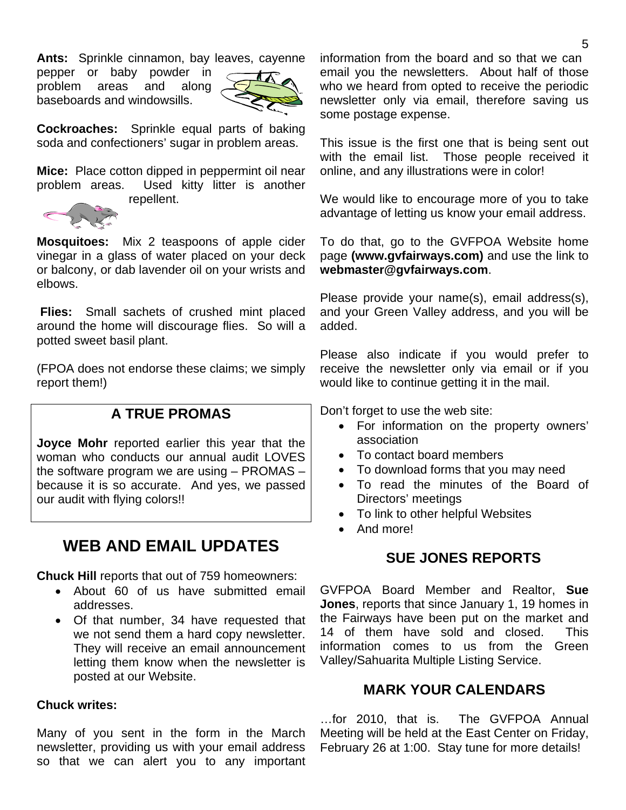**Ants:** Sprinkle cinnamon, bay leaves, cayenne

pepper or baby powder in problem areas and along baseboards and windowsills.



**Cockroaches:** Sprinkle equal parts of baking soda and confectioners' sugar in problem areas.

**Mice:** Place cotton dipped in peppermint oil near problem areas. Used kitty litter is another repellent.



**Mosquitoes:** Mix 2 teaspoons of apple cider vinegar in a glass of water placed on your deck or balcony, or dab lavender oil on your wrists and elbows.

 **Flies:** Small sachets of crushed mint placed around the home will discourage flies. So will a potted sweet basil plant.

(FPOA does not endorse these claims; we simply report them!)

### **A TRUE PROMAS**

**Joyce Mohr** reported earlier this year that the woman who conducts our annual audit LOVES the software program we are using – PROMAS – because it is so accurate. And yes, we passed our audit with flying colors!!

# **WEB AND EMAIL UPDATES**

**Chuck Hill** reports that out of 759 homeowners:

- About 60 of us have submitted email addresses.
- Of that number, 34 have requested that we not send them a hard copy newsletter. They will receive an email announcement letting them know when the newsletter is posted at our Website.

#### **Chuck writes:**

Many of you sent in the form in the March newsletter, providing us with your email address so that we can alert you to any important

information from the board and so that we can email you the newsletters. About half of those who we heard from opted to receive the periodic newsletter only via email, therefore saving us some postage expense.

This issue is the first one that is being sent out with the email list. Those people received it online, and any illustrations were in color!

We would like to encourage more of you to take advantage of letting us know your email address.

To do that, go to the GVFPOA Website home page **(www.gvfairways.com)** and use the link to **webmaster@gvfairways.com**.

Please provide your name(s), email address(s), and your Green Valley address, and you will be added.

Please also indicate if you would prefer to receive the newsletter only via email or if you would like to continue getting it in the mail.

Don't forget to use the web site:

- For information on the property owners' association
- To contact board members
- To download forms that you may need
- To read the minutes of the Board of Directors' meetings
- To link to other helpful Websites
- And more!

### **SUE JONES REPORTS**

GVFPOA Board Member and Realtor, **Sue Jones**, reports that since January 1, 19 homes in the Fairways have been put on the market and 14 of them have sold and closed. This information comes to us from the Green Valley/Sahuarita Multiple Listing Service.

### **MARK YOUR CALENDARS**

…for 2010, that is. The GVFPOA Annual Meeting will be held at the East Center on Friday, February 26 at 1:00. Stay tune for more details!